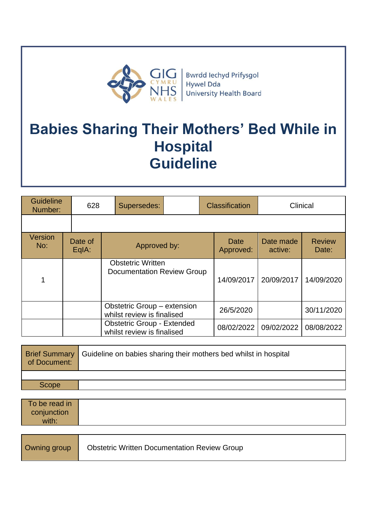

# **Babies Sharing Their Mothers' Bed While in Hospital Guideline**

| <b>Guideline</b><br>Number: |  | 628              |  | Supersedes:                                                     |  | <b>Classification</b> | Clinical             |                        |
|-----------------------------|--|------------------|--|-----------------------------------------------------------------|--|-----------------------|----------------------|------------------------|
|                             |  |                  |  |                                                                 |  |                       |                      |                        |
| Version<br>No:              |  | Date of<br>EqIA: |  | Approved by:                                                    |  | Date<br>Approved:     | Date made<br>active: | <b>Review</b><br>Date: |
|                             |  |                  |  | <b>Obstetric Written</b><br>Documentation Review Group          |  | 14/09/2017            | 20/09/2017           | 14/09/2020             |
|                             |  |                  |  | Obstetric Group - extension<br>whilst review is finalised       |  | 26/5/2020             |                      | 30/11/2020             |
|                             |  |                  |  | <b>Obstetric Group - Extended</b><br>whilst review is finalised |  | 08/02/2022            | 09/02/2022           | 08/08/2022             |

| of Document: | <b>Brief Summary</b> Guideline on babies sharing their mothers bed whilst in hospital |
|--------------|---------------------------------------------------------------------------------------|
|              |                                                                                       |
| <b>Scope</b> |                                                                                       |

| To be read in |  |
|---------------|--|
| conjunction   |  |
| with:         |  |

| Owning group | <b>Obstetric Written Documentation Review Group</b> |
|--------------|-----------------------------------------------------|
|--------------|-----------------------------------------------------|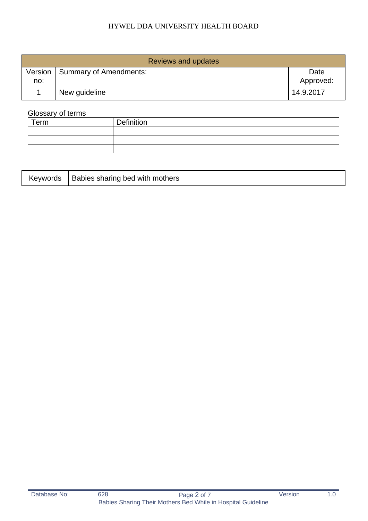## HYWEL DDA UNIVERSITY HEALTH BOARD

| Reviews and updates |                                  |                   |  |  |
|---------------------|----------------------------------|-------------------|--|--|
| no:                 | Version   Summary of Amendments: | Date<br>Approved: |  |  |
|                     | New guideline                    | 14.9.2017         |  |  |

# Glossary of terms

| Term | Definition |
|------|------------|
|      |            |
|      |            |
|      |            |

| Keywords | <b>If I Babies sharing bed with mothers</b> |
|----------|---------------------------------------------|
|----------|---------------------------------------------|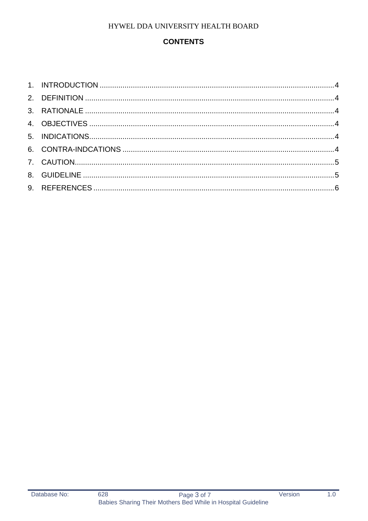# HYWEL DDA UNIVERSITY HEALTH BOARD

# **CONTENTS**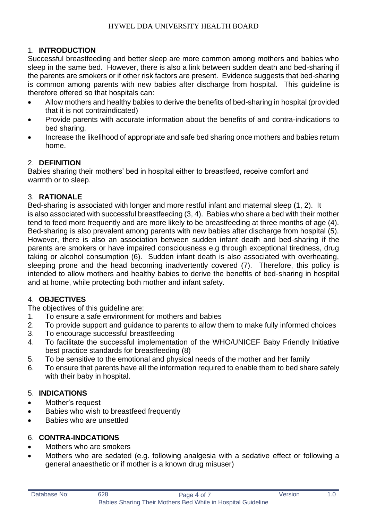# <span id="page-3-0"></span>1. **INTRODUCTION**

Successful breastfeeding and better sleep are more common among mothers and babies who sleep in the same bed. However, there is also a link between sudden death and bed-sharing if the parents are smokers or if other risk factors are present. Evidence suggests that bed-sharing is common among parents with new babies after discharge from hospital. This guideline is therefore offered so that hospitals can:

- Allow mothers and healthy babies to derive the benefits of bed-sharing in hospital (provided that it is not contraindicated)
- Provide parents with accurate information about the benefits of and contra-indications to bed sharing.
- Increase the likelihood of appropriate and safe bed sharing once mothers and babies return home.

## <span id="page-3-1"></span>2. **DEFINITION**

Babies sharing their mothers' bed in hospital either to breastfeed, receive comfort and warmth or to sleep.

#### <span id="page-3-2"></span>3. **RATIONALE**

Bed-sharing is associated with longer and more restful infant and maternal sleep (1, 2). It is also associated with successful breastfeeding (3, 4). Babies who share a bed with their mother tend to feed more frequently and are more likely to be breastfeeding at three months of age (4). Bed-sharing is also prevalent among parents with new babies after discharge from hospital (5). However, there is also an association between sudden infant death and bed-sharing if the parents are smokers or have impaired consciousness e.g through exceptional tiredness, drug taking or alcohol consumption (6). Sudden infant death is also associated with overheating, sleeping prone and the head becoming inadvertently covered (7). Therefore, this policy is intended to allow mothers and healthy babies to derive the benefits of bed-sharing in hospital and at home, while protecting both mother and infant safety.

#### <span id="page-3-3"></span>4. **OBJECTIVES**

The objectives of this guideline are:

- 1. To ensure a safe environment for mothers and babies
- 2. To provide support and guidance to parents to allow them to make fully informed choices
- 3. To encourage successful breastfeeding
- 4. To facilitate the successful implementation of the WHO/UNICEF Baby Friendly Initiative best practice standards for breastfeeding (8)
- 5. To be sensitive to the emotional and physical needs of the mother and her family
- 6. To ensure that parents have all the information required to enable them to bed share safely with their baby in hospital.

## <span id="page-3-4"></span>5. **INDICATIONS**

- Mother's request
- Babies who wish to breastfeed frequently
- Babies who are unsettled

## <span id="page-3-5"></span>6. **CONTRA-INDCATIONS**

- Mothers who are smokers
- Mothers who are sedated (e.g. following analgesia with a sedative effect or following a general anaesthetic or if mother is a known drug misuser)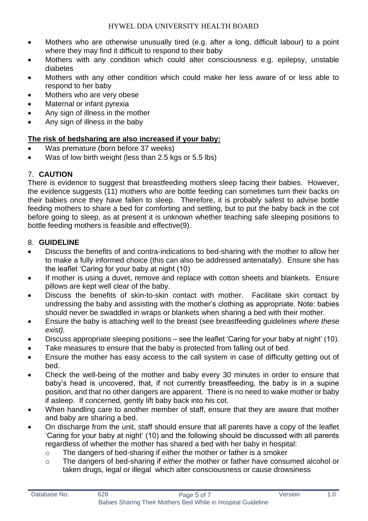- Mothers who are otherwise unusually tired (e.g. after a long, difficult labour) to a point where they may find it difficult to respond to their baby
- Mothers with any condition which could alter consciousness e.g. epilepsy, unstable diabetes
- Mothers with any other condition which could make her less aware of or less able to respond to her baby
- Mothers who are very obese
- Maternal or infant pyrexia
- Any sign of illness in the mother
- Any sign of illness in the baby

## **The risk of bedsharing are also increased if your baby:**

- Was premature (born before 37 weeks)
- Was of low birth weight (less than 2.5 kgs or 5.5 lbs)

## <span id="page-4-0"></span>7. **CAUTION**

There is evidence to suggest that breastfeeding mothers sleep facing their babies. However, the evidence suggests (11) mothers who are bottle feeding can sometimes turn their backs on their babies once they have fallen to sleep. Therefore, it is probably safest to advise bottle feeding mothers to share a bed for comforting and settling, but to put the baby back in the cot before going to sleep, as at present it is unknown whether teaching safe sleeping positions to bottle feeding mothers is feasible and effective(9).

## <span id="page-4-1"></span>8. **GUIDELINE**

- Discuss the benefits of and contra-indications to bed-sharing with the mother to allow her to make a fully informed choice (this can also be addressed antenatally). Ensure she has the leaflet 'Caring for your baby at night (10)
- If mother is using a duvet, remove and replace with cotton sheets and blankets. Ensure pillows are kept well clear of the baby.
- Discuss the benefits of skin-to-skin contact with mother. Facilitate skin contact by undressing the baby and assisting with the mother's clothing as appropriate. Note: babies should never be swaddled in wraps or blankets when sharing a bed with their mother.
- Ensure the baby is attaching well to the breast (see breastfeeding guidelines *where these exist).*
- Discuss appropriate sleeping positions see the leaflet 'Caring for your baby at night' (10).
- Take measures to ensure that the baby is protected from falling out of bed.
- Ensure the mother has easy access to the call system in case of difficulty getting out of bed.
- Check the well-being of the mother and baby every 30 minutes in order to ensure that baby's head is uncovered, that, if not currently breastfeeding, the baby is in a supine position, and that no other dangers are apparent. There is no need to wake mother or baby if asleep. If concerned, gently lift baby back into his cot.
- When handling care to another member of staff, ensure that they are aware that mother and baby are sharing a bed.
- On discharge from the unit, staff should ensure that all parents have a copy of the leaflet 'Caring for your baby at night' (10) and the following should be discussed with all parents regardless of whether the mother has shared a bed with her baby in hospital:
	- o The dangers of bed-sharing if *either* the mother or father is a smoker
	- o The dangers of bed-sharing if *either* the mother or father have consumed alcohol or taken drugs, legal or illegal which alter consciousness or cause drowsiness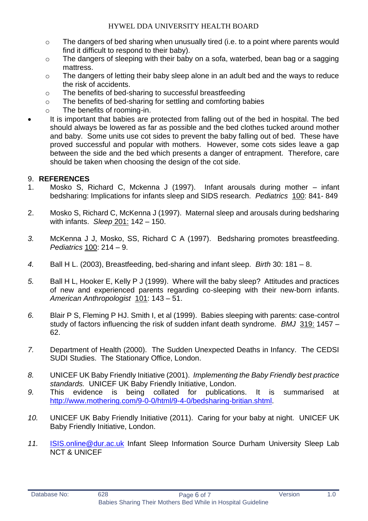- $\circ$  The dangers of bed sharing when unusually tired (i.e. to a point where parents would find it difficult to respond to their baby).
- o The dangers of sleeping with their baby on a sofa, waterbed, bean bag or a sagging mattress.
- o The dangers of letting their baby sleep alone in an adult bed and the ways to reduce the risk of accidents.
- o The benefits of bed-sharing to successful breastfeeding
- o The benefits of bed-sharing for settling and comforting babies
- o The benefits of rooming-in.
- It is important that babies are protected from falling out of the bed in hospital. The bed should always be lowered as far as possible and the bed clothes tucked around mother and baby. Some units use cot sides to prevent the baby falling out of bed. These have proved successful and popular with mothers. However, some cots sides leave a gap between the side and the bed which presents a danger of entrapment. Therefore, care should be taken when choosing the design of the cot side.

## <span id="page-5-0"></span>9. **REFERENCES**

- 1. Mosko S, Richard C, Mckenna J (1997). Infant arousals during mother infant bedsharing: Implications for infants sleep and SIDS research. *Pediatrics* 100: 841- 849
- 2. Mosko S, Richard C, McKenna J (1997). Maternal sleep and arousals during bedsharing with infants. *Sleep* 201: 142 – 150.
- *3.* McKenna J J, Mosko, SS, Richard C A (1997). Bedsharing promotes breastfeeding. *Pediatrics* 100: 214 – 9.
- *4.* Ball H L. (2003), Breastfeeding, bed-sharing and infant sleep. *Birth* 30: 181 8.
- *5.* Ball H L, Hooker E, Kelly P J (1999). Where will the baby sleep? Attitudes and practices of new and experienced parents regarding co-sleeping with their new-born infants. *American Anthropologist* 101: 143 – 51.
- *6.* Blair P S, Fleming P HJ. Smith I, et al (1999). Babies sleeping with parents: case-control study of factors influencing the risk of sudden infant death syndrome. *BMJ* 319: 1457 – 62.
- *7.* Department of Health (2000). The Sudden Unexpected Deaths in Infancy. The CEDSI SUDI Studies. The Stationary Office, London.
- *8.* UNICEF UK Baby Friendly Initiative (2001). *Implementing the Baby Friendly best practice standards.* UNICEF UK Baby Friendly Initiative, London.
- *9.* This evidence is being collated for publications. It is summarised at [http://www.mothering.com/9-0-0/html/9-4-0/bedsharing-britian.shtml.](http://www.mothering.com/9-0-0/html/9-4-0/bedsharing-britian.shtml)
- *10.* UNICEF UK Baby Friendly Initiative (2011). Caring for your baby at night*.* UNICEF UK Baby Friendly Initiative, London.
- *11.* [ISIS.online@dur.ac.uk](mailto:ISIS.online@dur.ac.uk) Infant Sleep Information Source Durham University Sleep Lab NCT & UNICEF